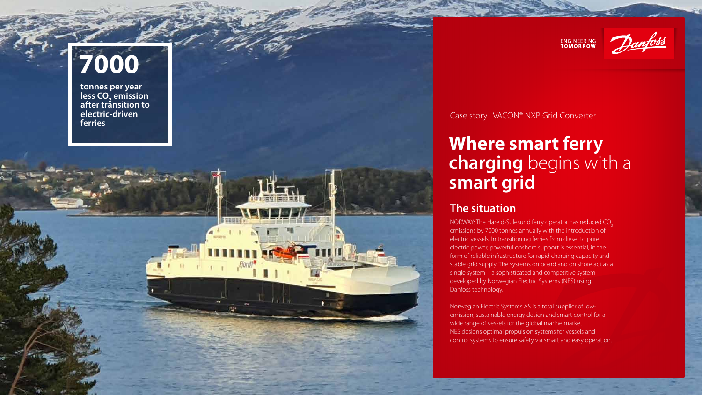## **Where smart ferry charging** begins with a **smart grid**

#### Case story | VACON® NXP Grid Converter

**tonnes per year less CO 2 emission after transition to electric-driven ferries**



**ENGINEERING**<br>TOMORROW



# **7000**

### **The situation**

NORWAY: The Hareid-Sulesund ferry operator has reduced CO<sub>2</sub> emissions by 7000 tonnes annually with the introduction of electric vessels. In transitioning ferries from diesel to pure electric power, powerful onshore support is essential, in the form of reliable infrastructure for rapid charging capacity and stable grid supply. The systems on board and on shore act as a single system – a sophisticated and competitive system developed by Norwegian Electric Systems (NES) using Danfoss technology.

Norwegian Electric Systems AS is a total supplier of lowemission, sustainable energy design and smart control for a wide range of vessels for the global marine market. NES designs optimal propulsion systems for vessels and control systems to ensure safety via smart and easy operation.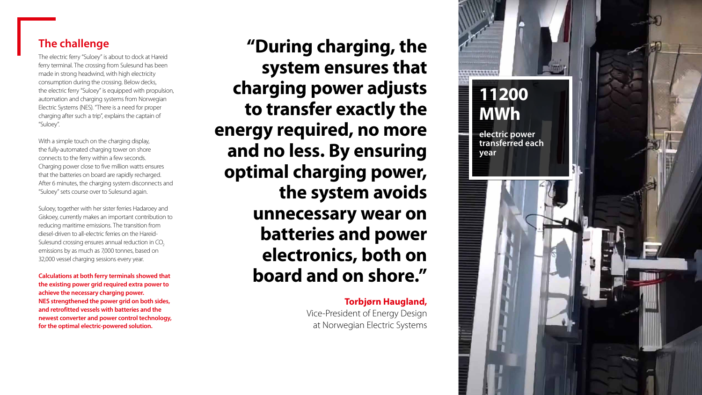#### **The challenge**

The electric ferry "Suloey" is about to dock at Hareid ferry terminal. The crossing from Sulesund has been made in strong headwind, with high electricity consumption during the crossing. Below decks, the electric ferry "Suloey" is equipped with propulsion, automation and charging systems from Norwegian Electric Systems (NES). "There is a need for proper charging after such a trip", explains the captain of "Suloey".

With a simple touch on the charging display, the fully-automated charging tower on shore connects to the ferry within a few seconds. Charging power close to five million watts ensures that the batteries on board are rapidly recharged. After 6 minutes, the charging system disconnects and "Suloey" sets course over to Sulesund again.

Suloey, together with her sister ferries Hadaroey and Giskoey, currently makes an important contribution to reducing maritime emissions. The transition from diesel-driven to all-electric ferries on the Hareid-Sulesund crossing ensures annual reduction in CO<sub>2</sub> emissions by as much as 7,000 tonnes, based on 32,000 vessel charging sessions every year.

**Calculations at both ferry terminals showed that the existing power grid required extra power to achieve the necessary charging power. NES strengthened the power grid on both sides, and retrofitted vessels with batteries and the newest converter and power control technology, for the optimal electric-powered solution.**

**"During charging, the system ensures that charging power adjusts to transfer exactly the energy required, no more and no less. By ensuring optimal charging power, the system avoids unnecessary wear on batteries and power electronics, both on board and on shore."** 

> **Torbjørn Haugland,** Vice-President of Energy Design at Norwegian Electric Systems

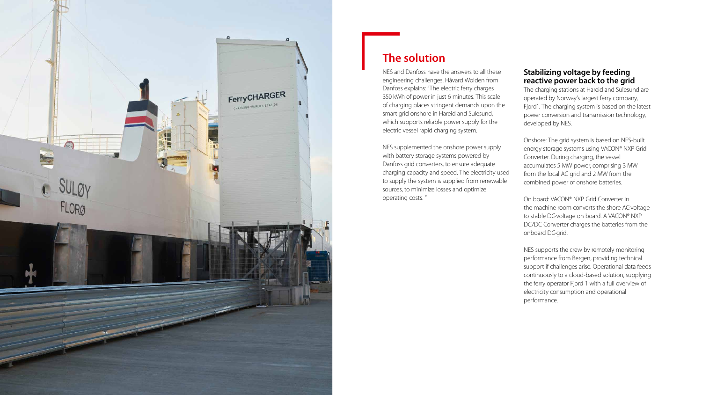

#### **The solution**

NES and Danfoss have the answers to all these engineering challenges. Håvard Wolden from Danfoss explains: "The electric ferry charges 350 kWh of power in just 6 minutes. This scale of charging places stringent demands upon the smart grid onshore in Hareid and Sulesund, which supports reliable power supply for the electric vessel rapid charging system.

NES supplemented the onshore power supply with battery storage systems powered by Danfoss grid converters, to ensure adequate charging capacity and speed. The electricity used to supply the system is supplied from renewable sources, to minimize losses and optimize operating costs. "

#### **Stabilizing voltage by feeding reactive power back to the grid**

The charging stations at Hareid and Sulesund are operated by Norway's largest ferry company, Fjord1. The charging system is based on the latest power conversion and transmission technology, developed by NES.

Onshore: The grid system is based on NES-built energy storage systems using VACON® NXP Grid Converter. During charging, the vessel accumulates 5 MW power, comprising 3 MW from the local AC grid and 2 MW from the combined power of onshore batteries.

On board: VACON® NXP Grid Converter in the machine room converts the shore AC-voltage to stable DC-voltage on board. A VACON® NXP DC/DC Converter charges the batteries from the onboard DC-grid.

NES supports the crew by remotely monitoring performance from Bergen, providing technical support if challenges arise. Operational data feeds continuously to a cloud-based solution, supplying the ferry operator Fjord 1 with a full overview of electricity consumption and operational performance.